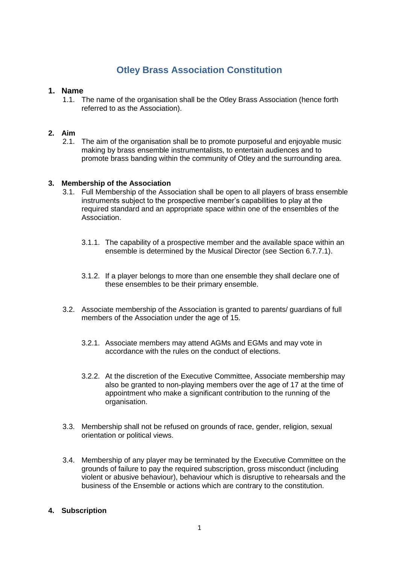# **Otley Brass Association Constitution**

# **1. Name**

1.1. The name of the organisation shall be the Otley Brass Association (hence forth referred to as the Association).

# **2. Aim**

2.1. The aim of the organisation shall be to promote purposeful and enjoyable music making by brass ensemble instrumentalists, to entertain audiences and to promote brass banding within the community of Otley and the surrounding area.

## **3. Membership of the Association**

- 3.1. Full Membership of the Association shall be open to all players of brass ensemble instruments subject to the prospective member's capabilities to play at the required standard and an appropriate space within one of the ensembles of the Association.
	- 3.1.1. The capability of a prospective member and the available space within an ensemble is determined by the Musical Director (see Section 6.7.7.1).
	- 3.1.2. If a player belongs to more than one ensemble they shall declare one of these ensembles to be their primary ensemble.
- 3.2. Associate membership of the Association is granted to parents/ guardians of full members of the Association under the age of 15.
	- 3.2.1. Associate members may attend AGMs and EGMs and may vote in accordance with the rules on the conduct of elections.
	- 3.2.2. At the discretion of the Executive Committee, Associate membership may also be granted to non-playing members over the age of 17 at the time of appointment who make a significant contribution to the running of the organisation.
- 3.3. Membership shall not be refused on grounds of race, gender, religion, sexual orientation or political views.
- 3.4. Membership of any player may be terminated by the Executive Committee on the grounds of failure to pay the required subscription, gross misconduct (including violent or abusive behaviour), behaviour which is disruptive to rehearsals and the business of the Ensemble or actions which are contrary to the constitution.

## **4. Subscription**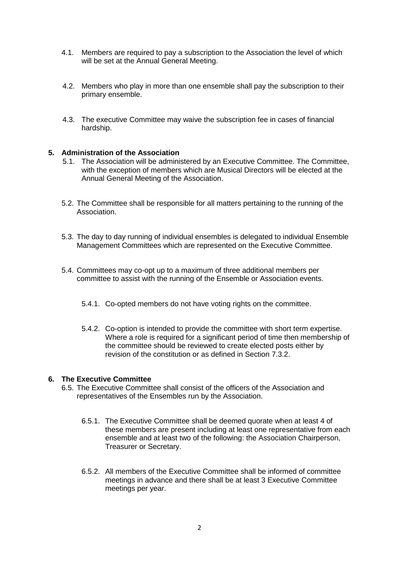- 4.1. Members are required to pay a subscription to the Association the level of which will be set at the Annual General Meeting.
- 4.2. Members who play in more than one ensemble shall pay the subscription to their primary ensemble.
- 4.3. The executive Committee may waive the subscription fee in cases of financial hardship.

#### **5. Administration of the Association**

- 5.1. The Association will be administered by an Executive Committee. The Committee, with the exception of members which are Musical Directors will be elected at the Annual General Meeting of the Association.
- 5.2. The Committee shall be responsible for all matters pertaining to the running of the Association.
- 5.3. The day to day running of individual ensembles is delegated to individual Ensemble Management Committees which are represented on the Executive Committee.
- 5.4. Committees may co-opt up to a maximum of three additional members per committee to assist with the running of the Ensemble or Association events.
	- 5.4.1. Co-opted members do not have voting rights on the committee.
	- 5.4.2. Co-option is intended to provide the committee with short term expertise. Where a role is required for a significant period of time then membership of the committee should be reviewed to create elected posts either by revision of the constitution or as defined in Section 7.3.2.

#### **6. The Executive Committee**

- 6.5. The Executive Committee shall consist of the officers of the Association and representatives of the Ensembles run by the Association.
	- 6.5.1. The Executive Committee shall be deemed quorate when at least 4 of these members are present including at least one representative from each ensemble and at least two of the following: the Association Chairperson, Treasurer or Secretary.
	- 6.5.2. All members of the Executive Committee shall be informed of committee meetings in advance and there shall be at least 3 Executive Committee meetings per year.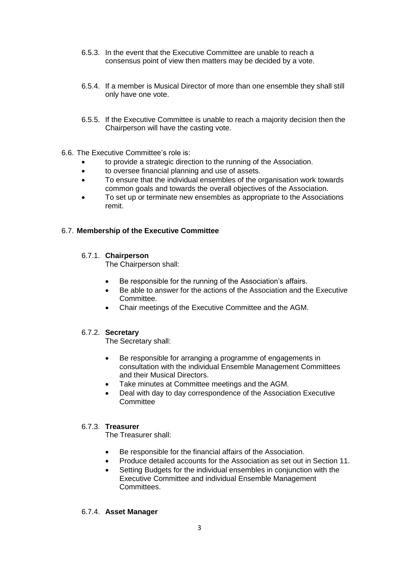- 6.5.3. In the event that the Executive Committee are unable to reach a consensus point of view then matters may be decided by a vote.
- 6.5.4. If a member is Musical Director of more than one ensemble they shall still only have one vote.
- 6.5.5. If the Executive Committee is unable to reach a majority decision then the Chairperson will have the casting vote.
- 6.6. The Executive Committee's role is:
	- to provide a strategic direction to the running of the Association.
	- to oversee financial planning and use of assets.
	- To ensure that the individual ensembles of the organisation work towards common goals and towards the overall objectives of the Association.
	- To set up or terminate new ensembles as appropriate to the Associations remit.

## 6.7. **Membership of the Executive Committee**

## 6.7.1. **Chairperson**

The Chairperson shall:

- Be responsible for the running of the Association's affairs.
- Be able to answer for the actions of the Association and the Executive Committee.
- Chair meetings of the Executive Committee and the AGM.

## 6.7.2. **Secretary**

The Secretary shall:

- Be responsible for arranging a programme of engagements in consultation with the individual Ensemble Management Committees and their Musical Directors.
- Take minutes at Committee meetings and the AGM.
- Deal with day to day correspondence of the Association Executive **Committee**

## 6.7.3. **Treasurer**

The Treasurer shall:

- Be responsible for the financial affairs of the Association.
- Produce detailed accounts for the Association as set out in Section 11.
- Setting Budgets for the individual ensembles in conjunction with the Executive Committee and individual Ensemble Management Committees.

#### 6.7.4. **Asset Manager**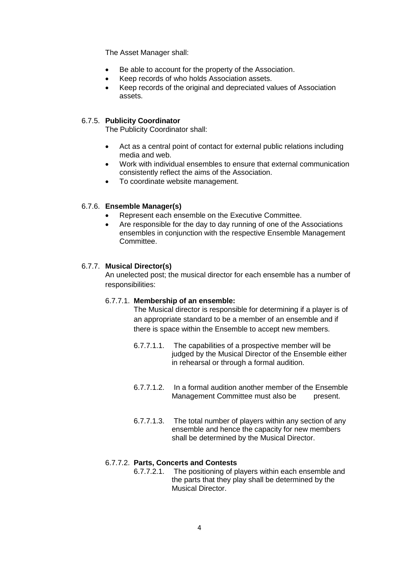The Asset Manager shall:

- Be able to account for the property of the Association.
- Keep records of who holds Association assets.
- Keep records of the original and depreciated values of Association assets.

#### 6.7.5. **Publicity Coordinator**

The Publicity Coordinator shall:

- Act as a central point of contact for external public relations including media and web.
- Work with individual ensembles to ensure that external communication consistently reflect the aims of the Association.
- To coordinate website management.

#### 6.7.6. **Ensemble Manager(s)**

- Represent each ensemble on the Executive Committee.
- Are responsible for the day to day running of one of the Associations ensembles in conjunction with the respective Ensemble Management Committee.

#### 6.7.7. **Musical Director(s)**

An unelected post; the musical director for each ensemble has a number of responsibilities:

#### 6.7.7.1. **Membership of an ensemble:**

The Musical director is responsible for determining if a player is of an appropriate standard to be a member of an ensemble and if there is space within the Ensemble to accept new members.

- 6.7.7.1.1. The capabilities of a prospective member will be judged by the Musical Director of the Ensemble either in rehearsal or through a formal audition.
- 6.7.7.1.2. In a formal audition another member of the Ensemble Management Committee must also be present.
- 6.7.7.1.3. The total number of players within any section of any ensemble and hence the capacity for new members shall be determined by the Musical Director.

## 6.7.7.2. **Parts, Concerts and Contests**

6.7.7.2.1. The positioning of players within each ensemble and the parts that they play shall be determined by the Musical Director.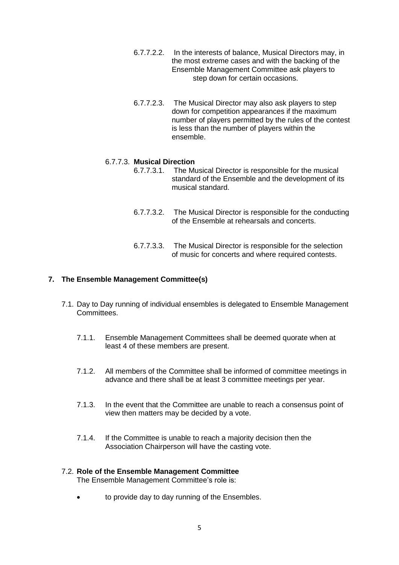- 6.7.7.2.2. In the interests of balance, Musical Directors may, in the most extreme cases and with the backing of the Ensemble Management Committee ask players to step down for certain occasions.
- 6.7.7.2.3. The Musical Director may also ask players to step down for competition appearances if the maximum number of players permitted by the rules of the contest is less than the number of players within the ensemble.

# 6.7.7.3. **Musical Direction**

- 6.7.7.3.1. The Musical Director is responsible for the musical standard of the Ensemble and the development of its musical standard.
- 6.7.7.3.2. The Musical Director is responsible for the conducting of the Ensemble at rehearsals and concerts.
- 6.7.7.3.3. The Musical Director is responsible for the selection of music for concerts and where required contests.

## **7. The Ensemble Management Committee(s)**

- 7.1. Day to Day running of individual ensembles is delegated to Ensemble Management Committees.
	- 7.1.1. Ensemble Management Committees shall be deemed quorate when at least 4 of these members are present.
	- 7.1.2. All members of the Committee shall be informed of committee meetings in advance and there shall be at least 3 committee meetings per year.
	- 7.1.3. In the event that the Committee are unable to reach a consensus point of view then matters may be decided by a vote.
	- 7.1.4. If the Committee is unable to reach a majority decision then the Association Chairperson will have the casting vote.

## 7.2. **Role of the Ensemble Management Committee**

The Ensemble Management Committee's role is:

to provide day to day running of the Ensembles.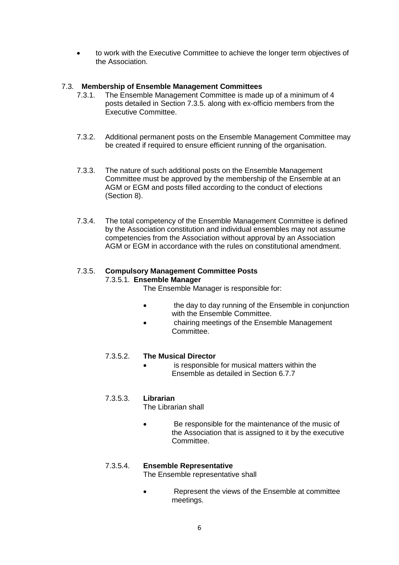to work with the Executive Committee to achieve the longer term objectives of the Association.

# 7.3. **Membership of Ensemble Management Committees**

- 7.3.1. The Ensemble Management Committee is made up of a minimum of 4 posts detailed in Section 7.3.5. along with ex-officio members from the Executive Committee.
- 7.3.2. Additional permanent posts on the Ensemble Management Committee may be created if required to ensure efficient running of the organisation.
- 7.3.3. The nature of such additional posts on the Ensemble Management Committee must be approved by the membership of the Ensemble at an AGM or EGM and posts filled according to the conduct of elections (Section 8).
- 7.3.4. The total competency of the Ensemble Management Committee is defined by the Association constitution and individual ensembles may not assume competencies from the Association without approval by an Association AGM or EGM in accordance with the rules on constitutional amendment.

# 7.3.5. **Compulsory Management Committee Posts**

7.3.5.1. **Ensemble Manager**

The Ensemble Manager is responsible for:

- **the day to day running of the Ensemble in conjunction** with the Ensemble Committee.
- chairing meetings of the Ensemble Management Committee.

## 7.3.5.2. **The Musical Director**

 is responsible for musical matters within the Ensemble as detailed in Section 6.7.7

# 7.3.5.3. **Librarian**

The Librarian shall

 Be responsible for the maintenance of the music of the Association that is assigned to it by the executive Committee.

# 7.3.5.4. **Ensemble Representative**

The Ensemble representative shall

 Represent the views of the Ensemble at committee meetings.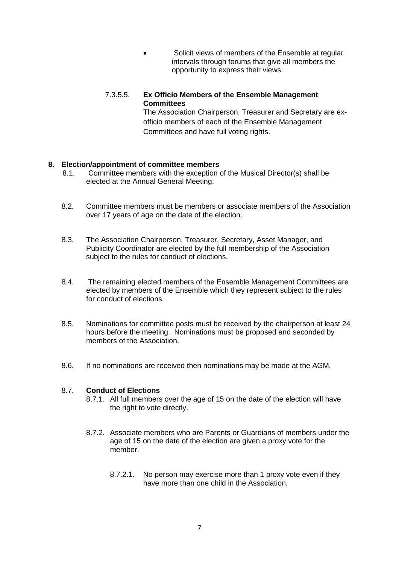- Solicit views of members of the Ensemble at regular intervals through forums that give all members the opportunity to express their views.
- 7.3.5.5. **Ex Officio Members of the Ensemble Management Committees** The Association Chairperson, Treasurer and Secretary are exofficio members of each of the Ensemble Management Committees and have full voting rights.

## **8. Election/appointment of committee members**

- 8.1. Committee members with the exception of the Musical Director(s) shall be elected at the Annual General Meeting.
- 8.2. Committee members must be members or associate members of the Association over 17 years of age on the date of the election.
- 8.3. The Association Chairperson, Treasurer, Secretary, Asset Manager, and Publicity Coordinator are elected by the full membership of the Association subject to the rules for conduct of elections.
- 8.4. The remaining elected members of the Ensemble Management Committees are elected by members of the Ensemble which they represent subject to the rules for conduct of elections.
- 8.5. Nominations for committee posts must be received by the chairperson at least 24 hours before the meeting. Nominations must be proposed and seconded by members of the Association.
- 8.6. If no nominations are received then nominations may be made at the AGM.

#### 8.7. **Conduct of Elections**

- 8.7.1. All full members over the age of 15 on the date of the election will have the right to vote directly.
- 8.7.2. Associate members who are Parents or Guardians of members under the age of 15 on the date of the election are given a proxy vote for the member.
	- 8.7.2.1. No person may exercise more than 1 proxy vote even if they have more than one child in the Association.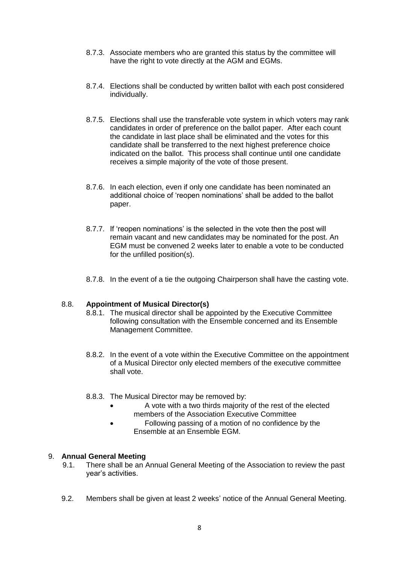- 8.7.3. Associate members who are granted this status by the committee will have the right to vote directly at the AGM and EGMs.
- 8.7.4. Elections shall be conducted by written ballot with each post considered individually.
- 8.7.5. Elections shall use the transferable vote system in which voters may rank candidates in order of preference on the ballot paper. After each count the candidate in last place shall be eliminated and the votes for this candidate shall be transferred to the next highest preference choice indicated on the ballot. This process shall continue until one candidate receives a simple majority of the vote of those present.
- 8.7.6. In each election, even if only one candidate has been nominated an additional choice of 'reopen nominations' shall be added to the ballot paper.
- 8.7.7. If 'reopen nominations' is the selected in the vote then the post will remain vacant and new candidates may be nominated for the post. An EGM must be convened 2 weeks later to enable a vote to be conducted for the unfilled position(s).
- 8.7.8. In the event of a tie the outgoing Chairperson shall have the casting vote.

## 8.8. **Appointment of Musical Director(s)**

- 8.8.1. The musical director shall be appointed by the Executive Committee following consultation with the Ensemble concerned and its Ensemble Management Committee.
- 8.8.2. In the event of a vote within the Executive Committee on the appointment of a Musical Director only elected members of the executive committee shall vote.
- 8.8.3. The Musical Director may be removed by:
	- A vote with a two thirds majority of the rest of the elected members of the Association Executive Committee
	- Following passing of a motion of no confidence by the Ensemble at an Ensemble EGM.

## 9. **Annual General Meeting**

- 9.1. There shall be an Annual General Meeting of the Association to review the past year's activities.
- 9.2. Members shall be given at least 2 weeks' notice of the Annual General Meeting.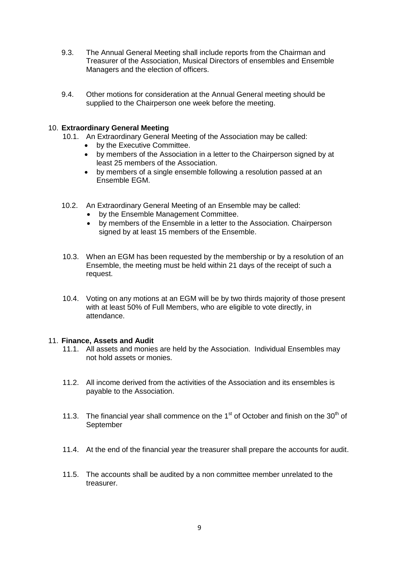- 9.3. The Annual General Meeting shall include reports from the Chairman and Treasurer of the Association, Musical Directors of ensembles and Ensemble Managers and the election of officers.
- 9.4. Other motions for consideration at the Annual General meeting should be supplied to the Chairperson one week before the meeting.

# 10. **Extraordinary General Meeting**

- 10.1. An Extraordinary General Meeting of the Association may be called:
	- by the Executive Committee.
	- by members of the Association in a letter to the Chairperson signed by at least 25 members of the Association.
	- by members of a single ensemble following a resolution passed at an Ensemble EGM.
- 10.2. An Extraordinary General Meeting of an Ensemble may be called:
	- by the Ensemble Management Committee.
	- by members of the Ensemble in a letter to the Association. Chairperson signed by at least 15 members of the Ensemble.
- 10.3. When an EGM has been requested by the membership or by a resolution of an Ensemble, the meeting must be held within 21 days of the receipt of such a request.
- 10.4. Voting on any motions at an EGM will be by two thirds majority of those present with at least 50% of Full Members, who are eligible to vote directly, in attendance.

## 11. **Finance, Assets and Audit**

- 11.1. All assets and monies are held by the Association. Individual Ensembles may not hold assets or monies.
- 11.2. All income derived from the activities of the Association and its ensembles is payable to the Association.
- 11.3. The financial year shall commence on the  $1<sup>st</sup>$  of October and finish on the 30<sup>th</sup> of September
- 11.4. At the end of the financial year the treasurer shall prepare the accounts for audit.
- 11.5. The accounts shall be audited by a non committee member unrelated to the treasurer.